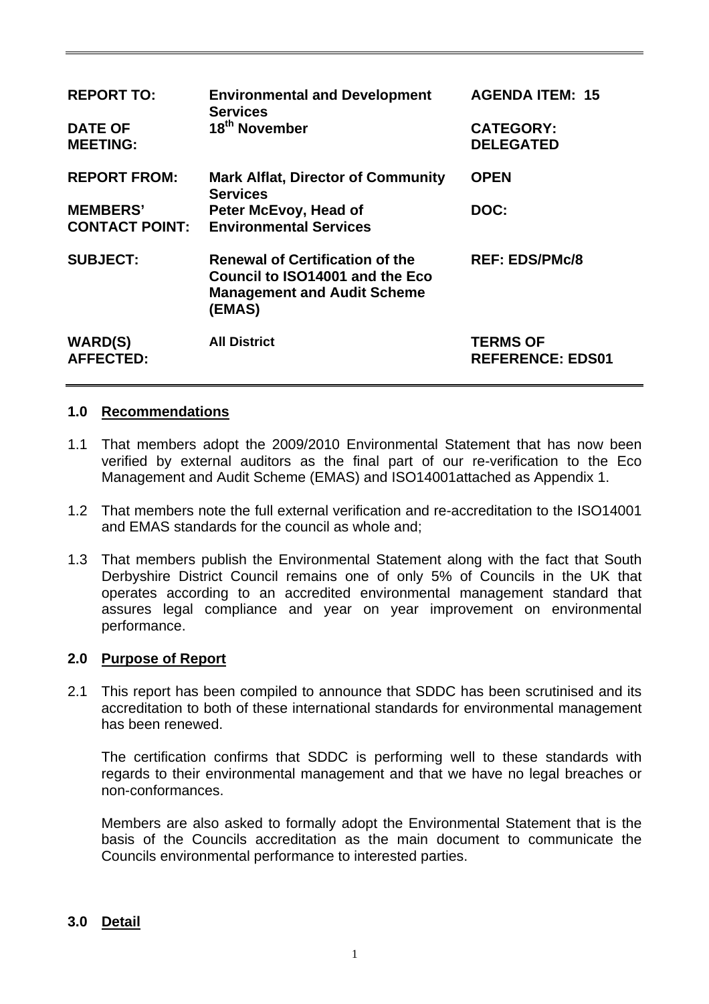| <b>REPORT TO:</b><br><b>DATE OF</b><br><b>MEETING:</b> | <b>Environmental and Development</b><br><b>Services</b><br>18 <sup>th</sup> November                                      | <b>AGENDA ITEM: 15</b><br><b>CATEGORY:</b><br><b>DELEGATED</b> |
|--------------------------------------------------------|---------------------------------------------------------------------------------------------------------------------------|----------------------------------------------------------------|
| <b>REPORT FROM:</b>                                    | <b>Mark Alflat, Director of Community</b><br><b>Services</b>                                                              | <b>OPEN</b>                                                    |
| <b>MEMBERS'</b><br><b>CONTACT POINT:</b>               | Peter McEvoy, Head of<br><b>Environmental Services</b>                                                                    | DOC:                                                           |
| <b>SUBJECT:</b>                                        | <b>Renewal of Certification of the</b><br>Council to ISO14001 and the Eco<br><b>Management and Audit Scheme</b><br>(EMAS) | <b>REF: EDS/PMc/8</b>                                          |
| <b>WARD(S)</b><br><b>AFFECTED:</b>                     | <b>All District</b>                                                                                                       | <b>TERMS OF</b><br><b>REFERENCE: EDS01</b>                     |

## **1.0 Recommendations**

- 1.1 That members adopt the 2009/2010 Environmental Statement that has now been verified by external auditors as the final part of our re-verification to the Eco Management and Audit Scheme (EMAS) and ISO14001attached as Appendix 1.
- 1.2 That members note the full external verification and re-accreditation to the ISO14001 and EMAS standards for the council as whole and;
- 1.3 That members publish the Environmental Statement along with the fact that South Derbyshire District Council remains one of only 5% of Councils in the UK that operates according to an accredited environmental management standard that assures legal compliance and year on year improvement on environmental performance.

### **2.0 Purpose of Report**

2.1 This report has been compiled to announce that SDDC has been scrutinised and its accreditation to both of these international standards for environmental management has been renewed.

 The certification confirms that SDDC is performing well to these standards with regards to their environmental management and that we have no legal breaches or non-conformances.

 Members are also asked to formally adopt the Environmental Statement that is the basis of the Councils accreditation as the main document to communicate the Councils environmental performance to interested parties.

## **3.0 Detail**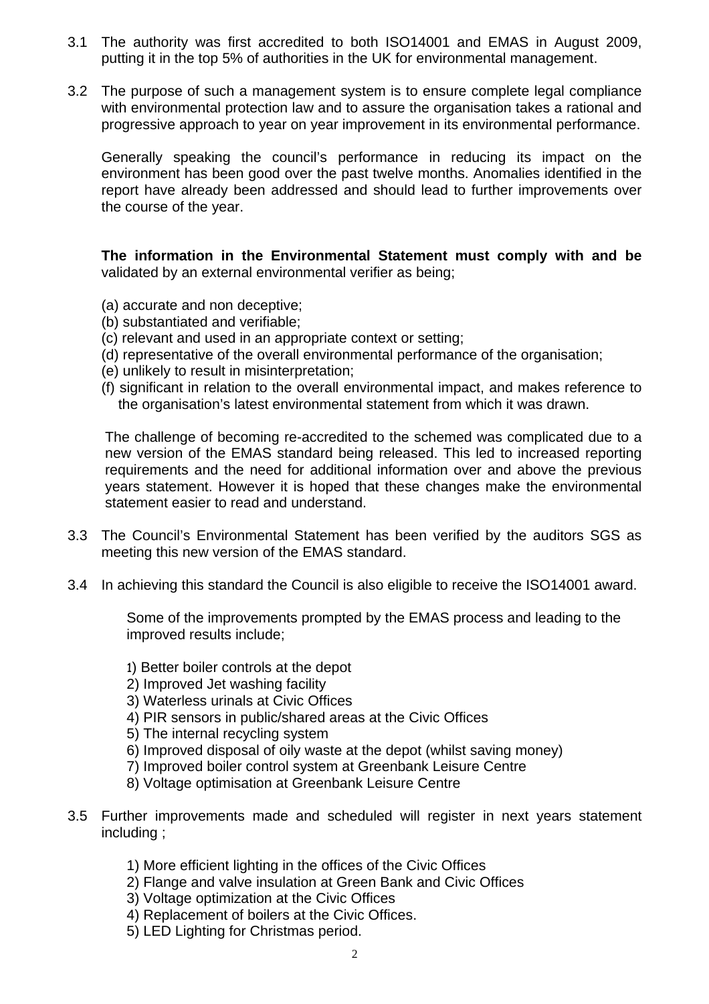- 3.1 The authority was first accredited to both ISO14001 and EMAS in August 2009, putting it in the top 5% of authorities in the UK for environmental management.
- 3.2 The purpose of such a management system is to ensure complete legal compliance with environmental protection law and to assure the organisation takes a rational and progressive approach to year on year improvement in its environmental performance.

Generally speaking the council's performance in reducing its impact on the environment has been good over the past twelve months. Anomalies identified in the report have already been addressed and should lead to further improvements over the course of the year.

 **The information in the Environmental Statement must comply with and be**  validated by an external environmental verifier as being;

- (a) accurate and non deceptive;
- (b) substantiated and verifiable;
- (c) relevant and used in an appropriate context or setting;
- (d) representative of the overall environmental performance of the organisation;
- (e) unlikely to result in misinterpretation;
- (f) significant in relation to the overall environmental impact, and makes reference to the organisation's latest environmental statement from which it was drawn.

The challenge of becoming re-accredited to the schemed was complicated due to a new version of the EMAS standard being released. This led to increased reporting requirements and the need for additional information over and above the previous years statement. However it is hoped that these changes make the environmental statement easier to read and understand.

- 3.3 The Council's Environmental Statement has been verified by the auditors SGS as meeting this new version of the EMAS standard.
- 3.4 In achieving this standard the Council is also eligible to receive the ISO14001 award.

Some of the improvements prompted by the EMAS process and leading to the improved results include;

- 1) Better boiler controls at the depot
- 2) Improved Jet washing facility
- 3) Waterless urinals at Civic Offices
- 4) PIR sensors in public/shared areas at the Civic Offices
- 5) The internal recycling system
- 6) Improved disposal of oily waste at the depot (whilst saving money)
- 7) Improved boiler control system at Greenbank Leisure Centre
- 8) Voltage optimisation at Greenbank Leisure Centre
- 3.5 Further improvements made and scheduled will register in next years statement including ;
	- 1) More efficient lighting in the offices of the Civic Offices
	- 2) Flange and valve insulation at Green Bank and Civic Offices
	- 3) Voltage optimization at the Civic Offices
	- 4) Replacement of boilers at the Civic Offices.
	- 5) LED Lighting for Christmas period.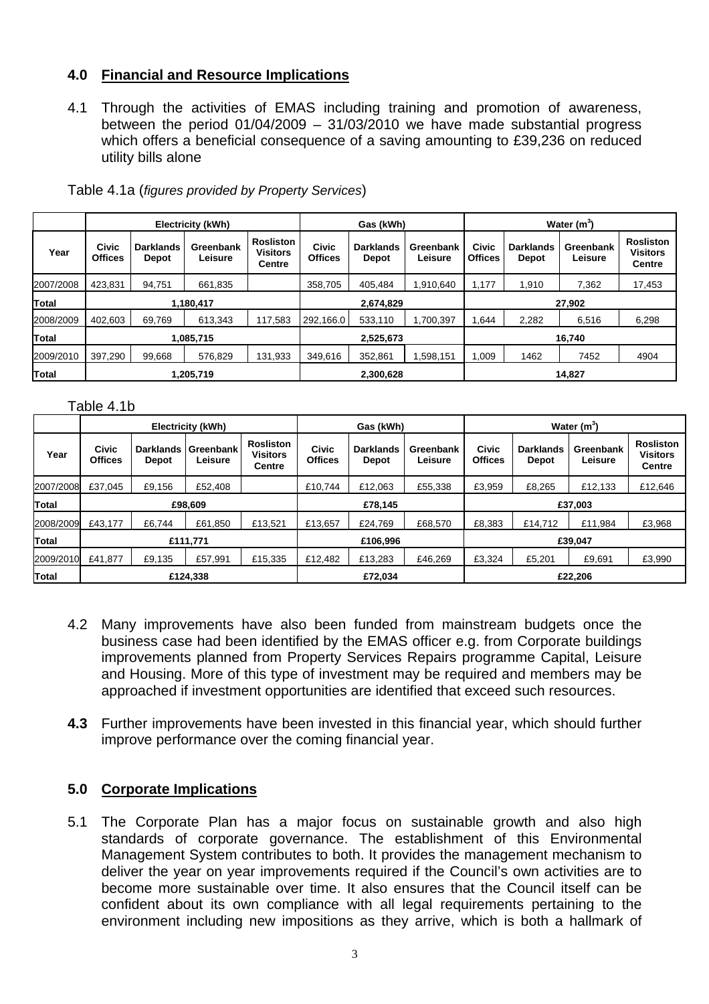# **4.0 Financial and Resource Implications**

4.1 Through the activities of EMAS including training and promotion of awareness, between the period 01/04/2009 – 31/03/2010 we have made substantial progress which offers a beneficial consequence of a saving amounting to £39,236 on reduced utility bills alone

|              | Electricity (kWh)              |                                  |                      |                                               | Gas (kWh)                      |                                  |                      | Water $(m^3)$           |                                  |                      |                                                      |
|--------------|--------------------------------|----------------------------------|----------------------|-----------------------------------------------|--------------------------------|----------------------------------|----------------------|-------------------------|----------------------------------|----------------------|------------------------------------------------------|
| Year         | <b>Civic</b><br><b>Offices</b> | <b>Darklands</b><br><b>Depot</b> | Greenbank<br>Leisure | <b>Rosliston</b><br><b>Visitors</b><br>Centre | <b>Civic</b><br><b>Offices</b> | <b>Darklands</b><br><b>Depot</b> | Greenbank<br>Leisure | Civic<br><b>Offices</b> | <b>Darklands</b><br><b>Depot</b> | Greenbank<br>Leisure | <b>Rosliston</b><br><b>Visitors</b><br><b>Centre</b> |
| 2007/2008    | 423,831                        | 94,751                           | 661,835              |                                               | 358,705                        | 405,484                          | ,910,640             | 1,177                   | 1,910                            | 7,362                | 17,453                                               |
| Total        | 1,180,417                      |                                  |                      |                                               | 2,674,829                      |                                  |                      | 27,902                  |                                  |                      |                                                      |
| 2008/2009    | 402,603                        | 69.769                           | 613.343              | 117.583                                       | 292.166.0                      | 533,110                          | ,700,397             | 1,644                   | 2,282                            | 6,516                | 6,298                                                |
| Total        | 1,085,715                      |                                  |                      |                                               | 2,525,673                      |                                  |                      | 16,740                  |                                  |                      |                                                      |
| 2009/2010    | 397,290                        | 99,668                           | 576.829              | 131.933                                       | 349,616                        | 352,861                          | .598,151             | 1,009                   | 1462                             | 7452                 | 4904                                                 |
| <b>Total</b> | 1,205,719                      |                                  |                      |                                               | 2,300,628                      |                                  |                      | 14.827                  |                                  |                      |                                                      |

Table 4.1a (*figures provided by Property Services*)

#### Table 4.1b

|           | <b>Electricity (kWh)</b> |                                  |                      |                                               | Gas (kWh)                      |                                  |                      | Water $(m^3)$           |                                  |                      |                                                      |
|-----------|--------------------------|----------------------------------|----------------------|-----------------------------------------------|--------------------------------|----------------------------------|----------------------|-------------------------|----------------------------------|----------------------|------------------------------------------------------|
| Year      | Civic<br><b>Offices</b>  | <b>Darklands</b><br><b>Depot</b> | Greenbank<br>Leisure | <b>Rosliston</b><br><b>Visitors</b><br>Centre | <b>Civic</b><br><b>Offices</b> | <b>Darklands</b><br><b>Depot</b> | Greenbank<br>Leisure | Civic<br><b>Offices</b> | <b>Darklands</b><br><b>Depot</b> | Greenbank<br>Leisure | <b>Rosliston</b><br><b>Visitors</b><br><b>Centre</b> |
| 2007/2008 | £37.045                  | £9,156                           | £52,408              |                                               | £10.744                        | £12.063                          | £55.338              | £3,959                  | £8,265                           | £12,133              | £12,646                                              |
| Total     | £98,609                  |                                  |                      |                                               | £78,145                        |                                  |                      | £37,003                 |                                  |                      |                                                      |
| 2008/2009 | £43.177                  | £6.744                           | £61.850              | £13.521                                       | £13.657                        | £24.769                          | £68,570              | £8,383                  | £14.712                          | £11,984              | £3,968                                               |
| Total     | £111,771                 |                                  |                      |                                               | £106,996                       |                                  |                      | £39,047                 |                                  |                      |                                                      |
| 2009/2010 | £41.877                  | £9,135                           | £57,991              | £15.335                                       | £12,482                        | £13.283                          | £46.269              | £3,324                  | £5,201                           | £9,691               | £3,990                                               |
| Total     | £124,338                 |                                  |                      |                                               | £72.034                        |                                  |                      | £22.206                 |                                  |                      |                                                      |

- 4.2 Many improvements have also been funded from mainstream budgets once the business case had been identified by the EMAS officer e.g. from Corporate buildings improvements planned from Property Services Repairs programme Capital, Leisure and Housing. More of this type of investment may be required and members may be approached if investment opportunities are identified that exceed such resources.
- **4.3** Further improvements have been invested in this financial year, which should further improve performance over the coming financial year.

## **5.0 Corporate Implications**

5.1 The Corporate Plan has a major focus on sustainable growth and also high standards of corporate governance. The establishment of this Environmental Management System contributes to both. It provides the management mechanism to deliver the year on year improvements required if the Council's own activities are to become more sustainable over time. It also ensures that the Council itself can be confident about its own compliance with all legal requirements pertaining to the environment including new impositions as they arrive, which is both a hallmark of